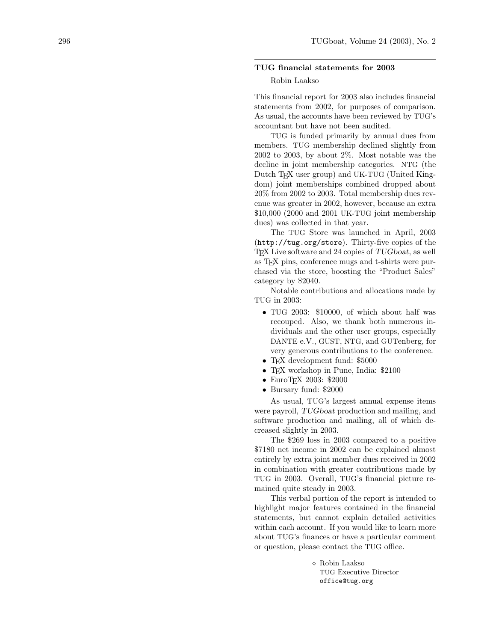## TUG financial statements for 2003

## Robin Laakso

This financial report for 2003 also includes financial statements from 2002, for purposes of comparison. As usual, the accounts have been reviewed by TUG's accountant but have not been audited.

TUG is funded primarily by annual dues from members. TUG membership declined slightly from 2002 to 2003, by about 2%. Most notable was the decline in joint membership categories. NTG (the Dutch T<sub>F</sub>X user group) and UK-TUG (United Kingdom) joint memberships combined dropped about 20% from 2002 to 2003. Total membership dues revenue was greater in 2002, however, because an extra \$10,000 (2000 and 2001 UK-TUG joint membership dues) was collected in that year.

The TUG Store was launched in April, 2003 (<http://tug.org/store>). Thirty-five copies of the TEX Live software and 24 copies of TUGboat, as well as TEX pins, conference mugs and t-shirts were purchased via the store, boosting the "Product Sales" category by \$2040.

Notable contributions and allocations made by TUG in 2003:

- TUG 2003: \$10000, of which about half was recouped. Also, we thank both numerous individuals and the other user groups, especially DANTE e.V., GUST, NTG, and GUTenberg, for very generous contributions to the conference.
- TFX development fund: \$5000
- TEX workshop in Pune, India: \$2100
- EuroTEX 2003: \$2000
- Bursary fund: \$2000

As usual, TUG's largest annual expense items were payroll, TUGboat production and mailing, and software production and mailing, all of which decreased slightly in 2003.

The \$269 loss in 2003 compared to a positive \$7180 net income in 2002 can be explained almost entirely by extra joint member dues received in 2002 in combination with greater contributions made by TUG in 2003. Overall, TUG's financial picture remained quite steady in 2003.

This verbal portion of the report is intended to highlight major features contained in the financial statements, but cannot explain detailed activities within each account. If you would like to learn more about TUG's finances or have a particular comment or question, please contact the TUG office.

> Robin Laakso TUG Executive Director office@tug.org